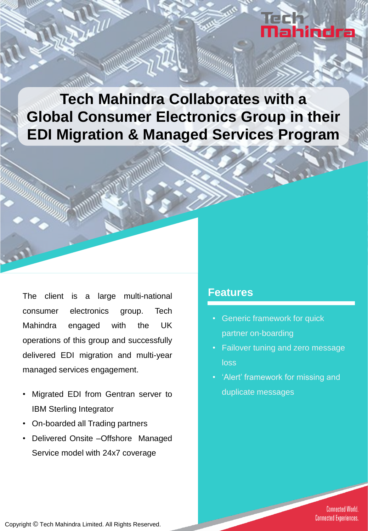# ŒC Mahindra

**Tech Mahindra Collaborates with a Global Consumer Electronics Group in their EDI Migration & Managed Services Program**

The client is a large multi-national consumer electronics group. Tech Mahindra engaged with the UK operations of this group and successfully delivered EDI migration and multi-year managed services engagement.

- Migrated EDI from Gentran server to IBM Sterling Integrator
- On-boarded all Trading partners
- Delivered Onsite –Offshore Managed Service model with 24x7 coverage

#### **Features**

- Generic framework for quick partner on-boarding
- Failover tuning and zero message loss
- 'Alert' framework for missing and duplicate messages

**Connected World. Connected Experiences.**